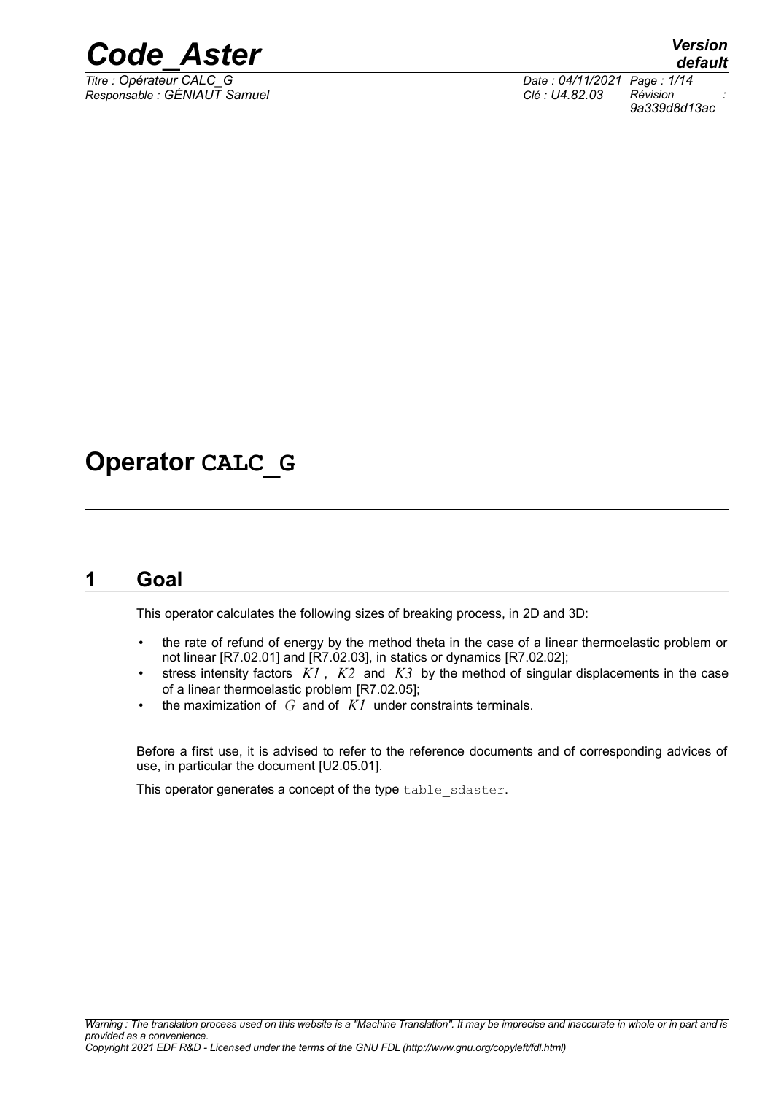

*Titre : Opérateur CALC\_G Date : 04/11/2021 Page : 1/14 Responsable : GÉNIAUT Samuel Clé : U4.82.03 Révision :*

*default*

*9a339d8d13ac*

## **Operator CALC\_G**

### **1 Goal**

This operator calculates the following sizes of breaking process, in 2D and 3D:

- the rate of refund of energy by the method theta in the case of a linear thermoelastic problem or not linear [R7.02.01] and [R7.02.03], in statics or dynamics [R7.02.02];
- stress intensity factors *K1* , *K2* and *K3* by the method of singular displacements in the case of a linear thermoelastic problem [R7.02.05];
- the maximization of *G* and of *K1* under constraints terminals.

Before a first use, it is advised to refer to the reference documents and of corresponding advices of use, in particular the document [U2.05.01].

This operator generates a concept of the type table sdaster.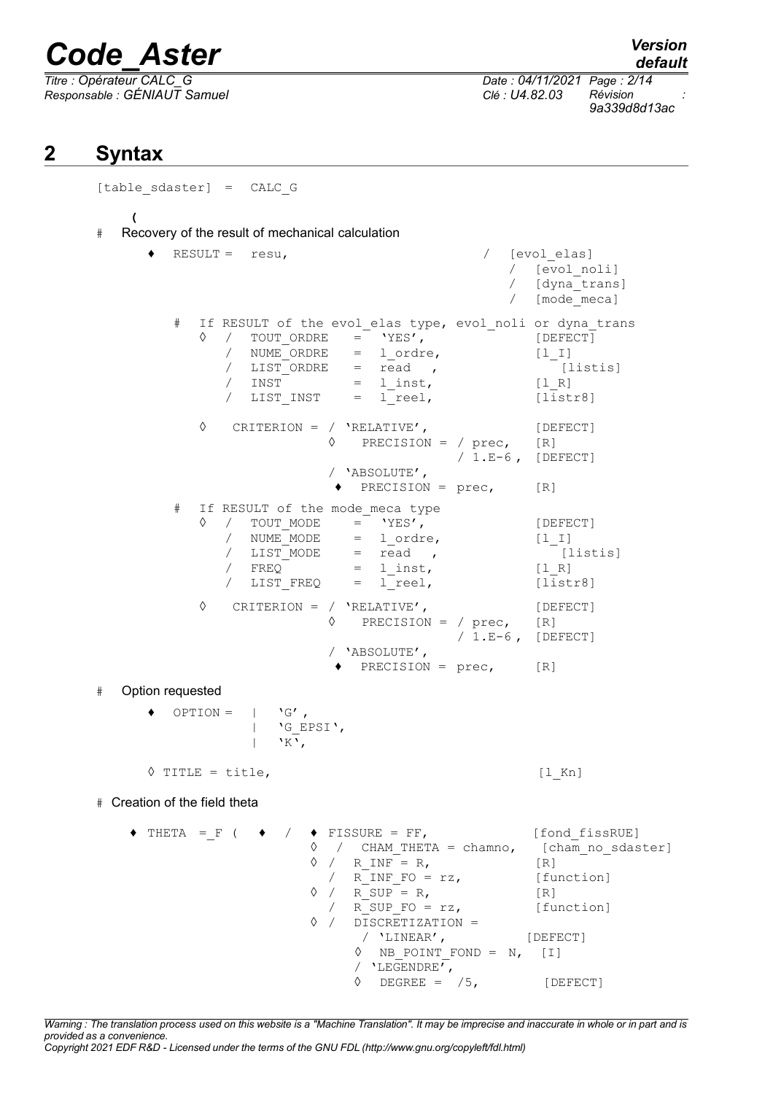$\overline{\text{Titre : Opérateur CALC_G}}$ *Responsable : GÉNIAUT Samuel Clé : U4.82.03 Révision :*

*default*

*9a339d8d13ac*

## **2 Syntax**

[table\_sdaster] = CALC\_G **(** # Recovery of the result of mechanical calculation ♦ RESULT = resu, / [evol\_elas] / [evol\_noli] / [dyna\_trans] / [mode\_meca] # If RESULT of the evol elas type, evol noli or dyna trans ◊ / TOUT\_ORDRE = 'YES', [DEFECT] / NUME ORDRE = 1 ordre, [1 I]  $\overline{A}$  LIST ORDRE = read , [listis]  $/$  INST =  $l\_inst$ ,  $[1_R]$ / LIST INST = l reel, [listr8] ◊ CRITERION = / 'RELATIVE', [DEFECT] ◊ PRECISION = / prec, [R] / 1.E-6 , [DEFECT] / 'ABSOLUTE',  $\triangleleft$  PRECISION = prec,  $[R]$ # If RESULT of the mode\_meca type  $\begin{array}{ccc} \Diamond & / & \text{TOUT}\ \text{MODE} & = & \text{YES'}\,, & \text{[DEFECT]}\ \end{array}$  $=$  lordre,  $[1_I]$ / LIST MODE = read , [listis]  $/$  FREQ =  $l\_inst$ ,  $[1_R]$  $\overline{V}$  LIST FREQ = l<sup>-</sup>reel, [listr8] ◊ CRITERION = / 'RELATIVE', [DEFECT]  $\Diamond$  PRECISION = / prec, [R]  $/ 1.E-6$ , [DEFECT] / 'ABSOLUTE',  $\triangleleft$  PRECISION = prec, [R] # Option requested  $OPTION = | 'G',$ | 'G\_EPSI',  $| N_{\rm K}$ , ◊ TITLE = title, [l\_Kn] # Creation of the field theta  $\triangle$  THETA =\_F (  $\triangle$  /  $\triangle$  FISSURE = FF, [fond fissRUE] ◊ / CHAM\_THETA = chamno, [cham\_no\_sdaster]  $\sqrt{ }$  / R INF = R, [R] /  $R\_INF\_FO = rz$ , [function]  $\sqrt{ }$  / R SUP = R, [R] / R\_SUP\_FO = rz, [function] ◊ / DISCRETIZATION = / 'LINEAR', [DEFECT]  $\Diamond$  NB POINT FOND = N, [I] / 'LEGENDRE',  $\Diamond$  DEGREE =  $/5$ , [DEFECT]

*Warning : The translation process used on this website is a "Machine Translation". It may be imprecise and inaccurate in whole or in part and is provided as a convenience.*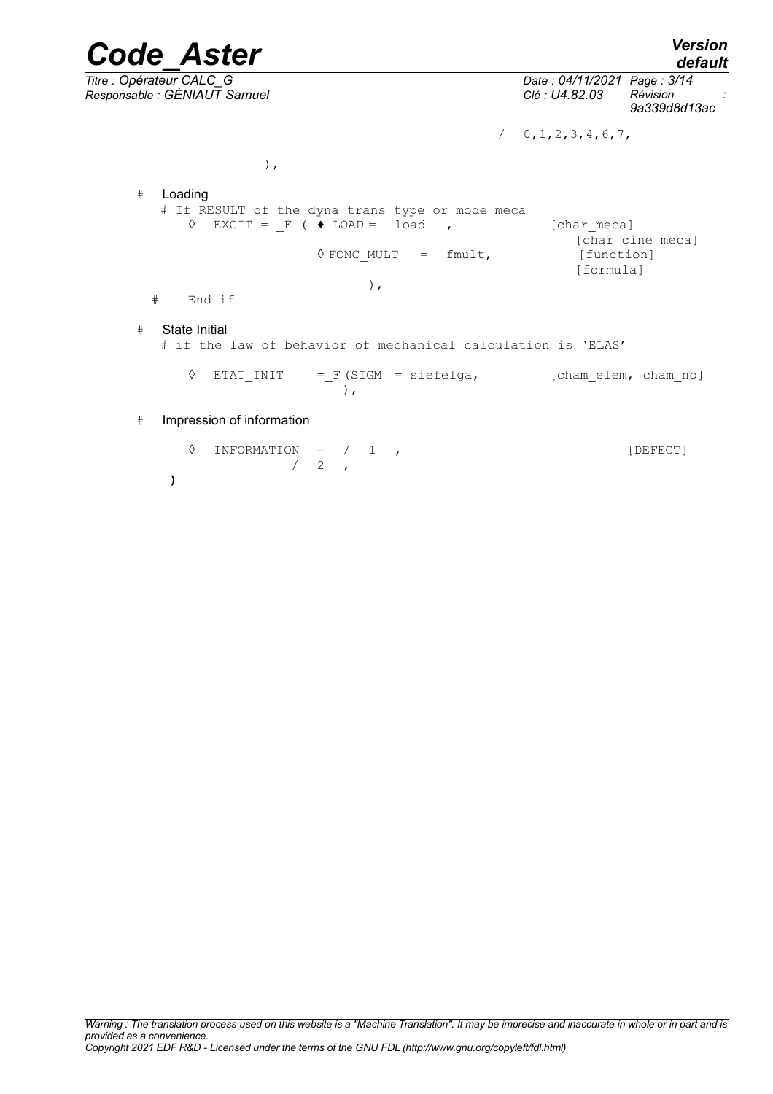*default*

*Code\_Aster Version Titre : Opérateur CALC\_G Date : 04/11/2021 Page : 3/14 Responsable : GÉNIAUT Samuel Clé : U4.82.03 Révision : 9a339d8d13ac*

 $/ 0, 1, 2, 3, 4, 6, 7,$ 

 $\,$ ,  $\,$ 

# Loading # If RESULT of the dyna trans type or mode meca  $\sqrt[3]{}$  EXCIT =  $F(\sqrt[3]{})$  LOAD = load , [charmeca] [char cine meca] ◊ FONC\_MULT = fmult, [function] [formula] ), # End if # State Initial # if the law of behavior of mechanical calculation is 'ELAS' ◊ ETAT\_INIT =\_F (SIGM = siefelga, [cham\_elem, cham\_no] ), # Impression of information

 $\Diamond$  INFORMATION =  $/$  1 ,  $\begin{array}{cc} \sqrt{2} & 2 \end{array}$ **)**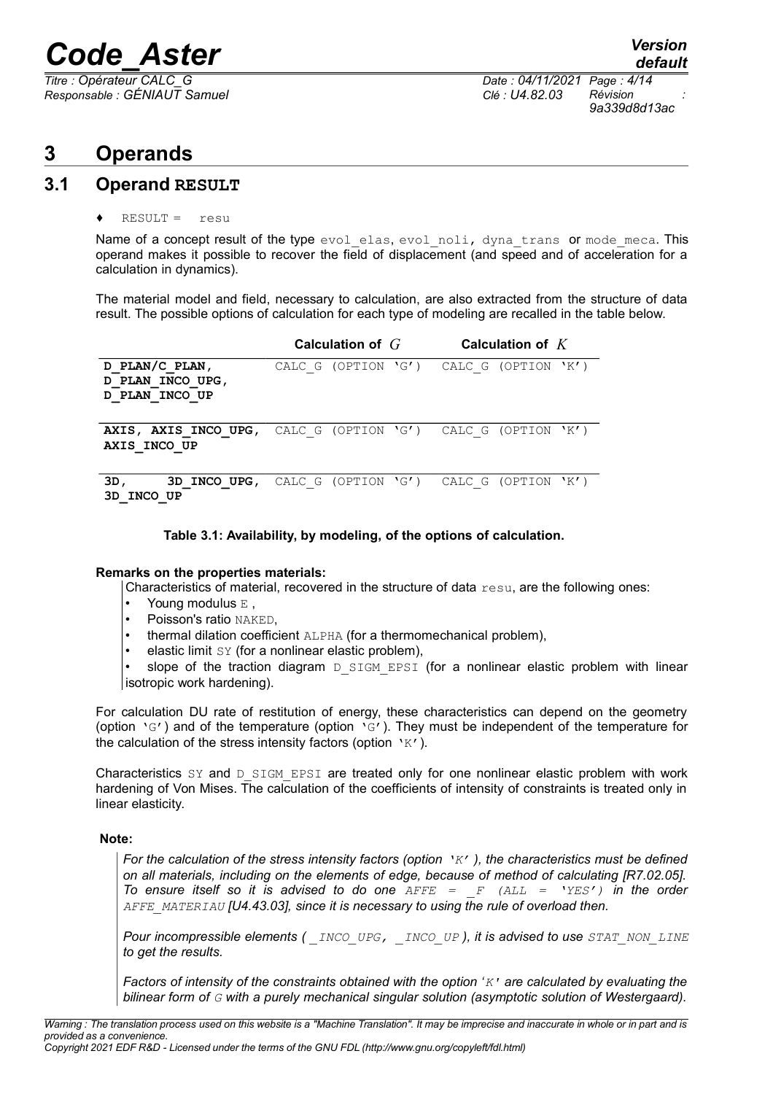*Responsable : GÉNIAUT Samuel Clé : U4.82.03 Révision :*

*Titre : Opérateur CALC\_G Date : 04/11/2021 Page : 4/14 9a339d8d13ac*

## **3 Operands**

### **3.1 Operand RESULT**

### $RESULT =$  resu

Name of a concept result of the type evol elas, evol noli, dyna trans or mode meca. This operand makes it possible to recover the field of displacement (and speed and of acceleration for a calculation in dynamics).

The material model and field, necessary to calculation, are also extracted from the structure of data result. The possible options of calculation for each type of modeling are recalled in the table below.

|                                                      | Calculation of $G$                                                           | Calculation of $K$ |  |  |
|------------------------------------------------------|------------------------------------------------------------------------------|--------------------|--|--|
| D PLAN/C PLAN,<br>D PLAN INCO UPG,<br>D PLAN INCO UP | CALC G (OPTION $\zeta'$ ) CALC G (OPTION $\zeta'$ )                          |                    |  |  |
| AXIS INCO UP                                         | AXIS, AXIS INCO UPG, CALC G (OPTION $\Gamma$ G') CALC G (OPTION $\Gamma$ K') |                    |  |  |
| 3D,<br>3D INCO UPG,<br>INCO UP<br>3D                 | CALC G (OPTION $\check{G}'$ ) CALC G (OPTION $\check{K}'$ )                  |                    |  |  |

### **Table 3.1: Availability, by modeling, of the options of calculation.**

### **Remarks on the properties materials:**

Characteristics of material, recovered in the structure of data  $resu$ , are the following ones:

- Young modulus E,
- Poisson's ratio NAKED.
- thermal dilation coefficient ALPHA (for a thermomechanical problem),
- elastic limit SY (for a nonlinear elastic problem),

slope of the traction diagram  $D$  SIGM EPSI (for a nonlinear elastic problem with linear isotropic work hardening).

For calculation DU rate of restitution of energy, these characteristics can depend on the geometry (option 'G') and of the temperature (option 'G'). They must be independent of the temperature for the calculation of the stress intensity factors (option 'K').

Characteristics  $SY$  and  $D$  SIGM EPSI are treated only for one nonlinear elastic problem with work hardening of Von Mises. The calculation of the coefficients of intensity of constraints is treated only in linear elasticity.

### **Note:**

*For the calculation of the stress intensity factors (option 'K' ), the characteristics must be defined on all materials, including on the elements of edge, because of method of calculating [R7.02.05]. To ensure itself so it is advised to do one AFFE = \_F (ALL = 'YES') in the order AFFE\_MATERIAU [U4.43.03], since it is necessary to using the rule of overload then.*

*Pour incompressible elements ( \_INCO\_UPG, \_INCO\_UP ), it is advised to use STAT\_NON\_LINE to get the results.*

*Factors of intensity of the constraints obtained with the option 'K' are calculated by evaluating the bilinear form of G with a purely mechanical singular solution (asymptotic solution of Westergaard).*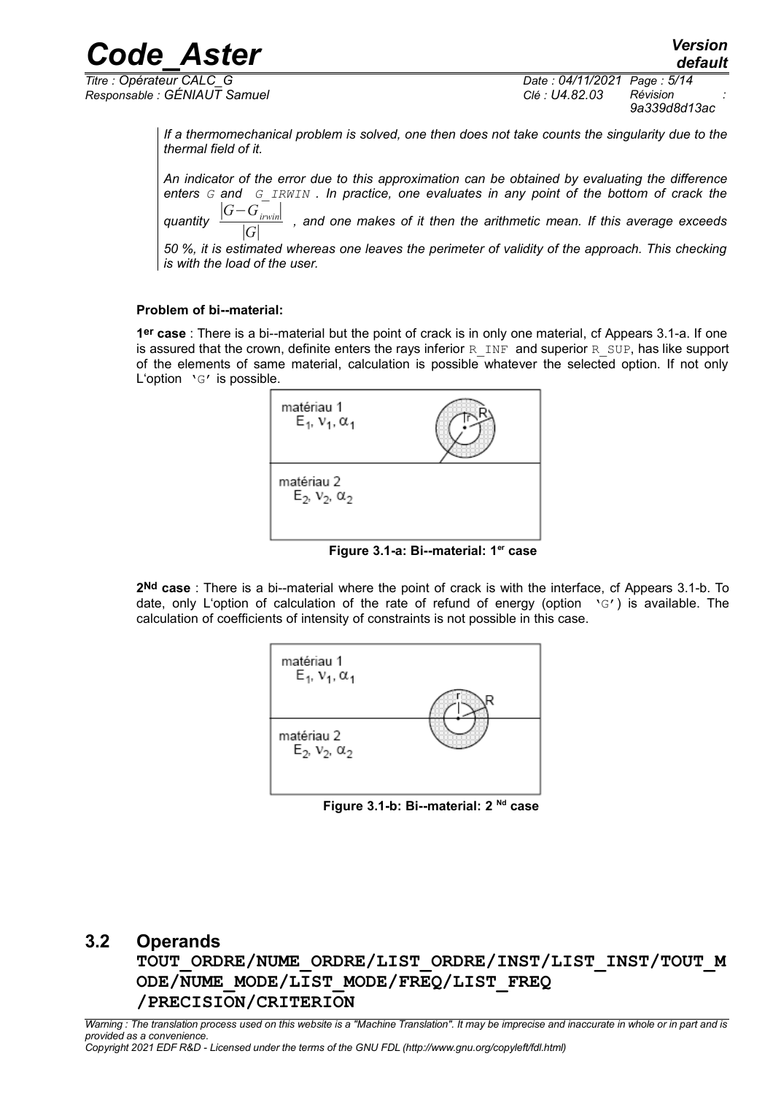*Responsable : GÉNIAUT Samuel Clé : U4.82.03 Révision :*

*default Titre : Opérateur CALC\_G Date : 04/11/2021 Page : 5/14 9a339d8d13ac*

> *If a thermomechanical problem is solved, one then does not take counts the singularity due to the thermal field of it.*

> *An indicator of the error due to this approximation can be obtained by evaluating the difference enters G and G\_IRWIN . In practice, one evaluates in any point of the bottom of crack the quantity*  ∣*G*−*Girwin*∣ ∣*G*∣  *, and one makes of it then the arithmetic mean. If this average exceeds 50 %, it is estimated whereas one leaves the perimeter of validity of the approach. This checking is with the load of the user.*

### **Problem of bi--material:**

**1er case** : There is a bi--material but the point of crack is in only one material, cf Appears 3.1-a. If one is assured that the crown, definite enters the rays inferior R\_INF and superior R\_SUP, has like support of the elements of same material, calculation is possible whatever the selected option. If not only L'option 'G' is possible.

| matériau 1<br>$E_1, V_1, \alpha_1$ |  |
|------------------------------------|--|
| matériau 2<br>$E_2, V_2, \alpha_2$ |  |

**Figure 3.1-a: Bi--material: 1er case**

**2Nd case** : There is a bi--material where the point of crack is with the interface, cf Appears 3.1-b. To date, only L'option of calculation of the rate of refund of energy (option 'G') is available. The calculation of coefficients of intensity of constraints is not possible in this case.



**Figure 3.1-b: Bi--material: 2 Nd case**

### **3.2 Operands**

**TOUT\_ORDRE/NUME\_ORDRE/LIST\_ORDRE/INST/LIST\_INST/TOUT\_M ODE/NUME\_MODE/LIST\_MODE/FREQ/LIST\_FREQ /PRECISION/CRITERION**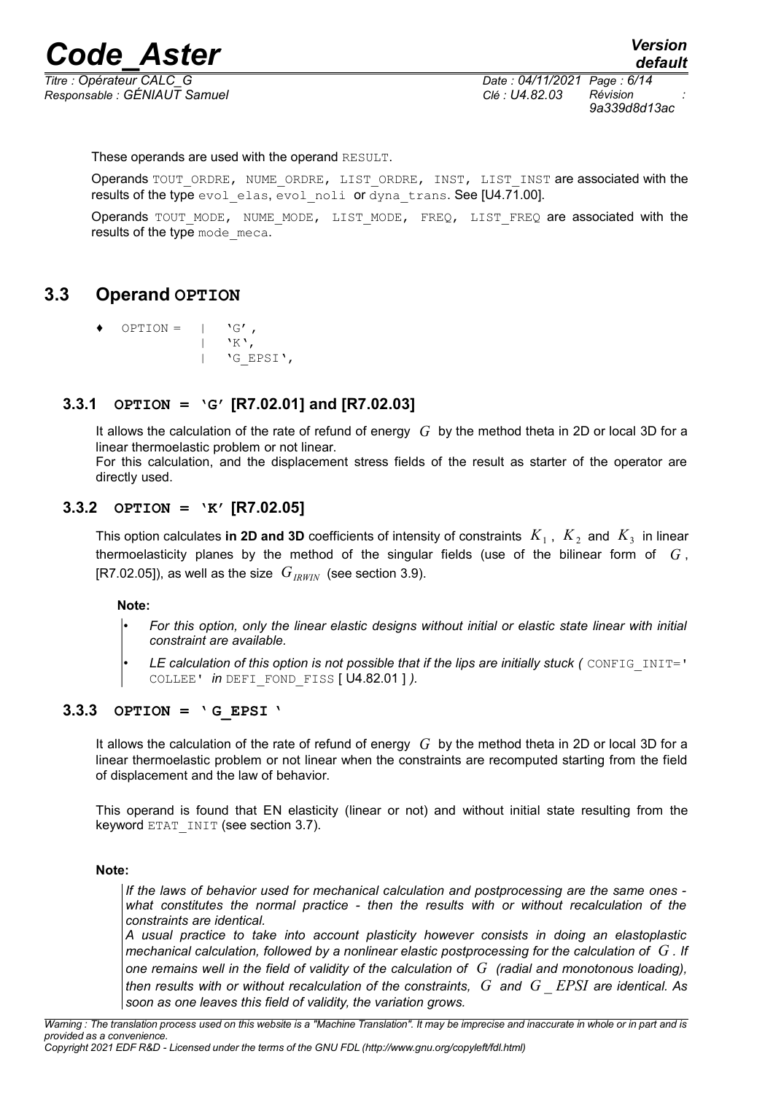*Responsable : GÉNIAUT Samuel Clé : U4.82.03 Révision :*

*9a339d8d13ac*

These operands are used with the operand RESULT.

Operands TOUT\_ORDRE, NUME\_ORDRE, LIST\_ORDRE, INST, LIST\_INST are associated with the results of the type evol elas, evol noli or dyna trans. See [U4.71.00].

Operands TOUT MODE, NUME MODE, LIST MODE, FREQ, LIST FREQ are associated with the results of the type mode meca.

### **3.3 Operand OPTION**

 $OPTION = | 'G',$  $|$  'K', | 'G\_EPSI',

### **3.3.1 OPTION = 'G' [R7.02.01] and [R7.02.03]**

It allows the calculation of the rate of refund of energy *G* by the method theta in 2D or local 3D for a linear thermoelastic problem or not linear.

For this calculation, and the displacement stress fields of the result as starter of the operator are directly used.

### **3.3.2 OPTION = 'K' [R7.02.05]**

This option calculates **in 2D and 3D** coefficients of intensity of constraints  $|K_1|$  ,  $|K_2|$  and  $|K_3|$  in linear thermoelasticity planes by the method of the singular fields (use of the bilinear form of *G* , [R7.02.05]), as well as the size  $G_{IRWIN}$  (see section [3.9\)](#page-10-0).

### **Note:**

• *For this option, only the linear elastic designs without initial or elastic state linear with initial constraint are available.*

**LE calculation of this option is not possible that if the lips are initially stuck (** CONFIG INIT=' COLLEE' *in* DEFI\_FOND\_FISS [ U4.82.01 ] *).*

### **3.3.3 OPTION = ' G\_EPSI '**

It allows the calculation of the rate of refund of energy *G* by the method theta in 2D or local 3D for a linear thermoelastic problem or not linear when the constraints are recomputed starting from the field of displacement and the law of behavior.

This operand is found that EN elasticity (linear or not) and without initial state resulting from the keyword ETAT\_INIT (see section [3.7\)](#page-9-0).

### **Note:**

*If the laws of behavior used for mechanical calculation and postprocessing are the same ones what constitutes the normal practice - then the results with or without recalculation of the constraints are identical.*

*A usual practice to take into account plasticity however consists in doing an elastoplastic mechanical calculation, followed by a nonlinear elastic postprocessing for the calculation of G . If one remains well in the field of validity of the calculation of G (radial and monotonous loading), then results with or without recalculation of the constraints, G and G* \_ *EPSI are identical. As soon as one leaves this field of validity, the variation grows.*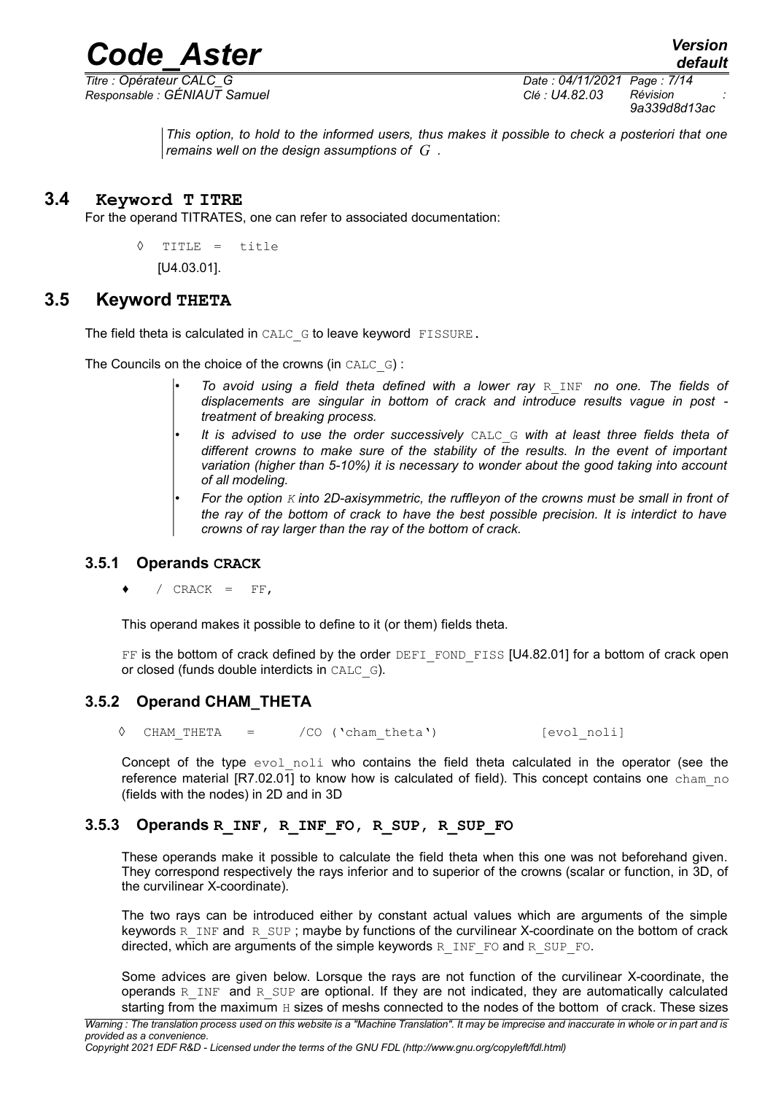

*Responsable : GÉNIAUT Samuel Clé : U4.82.03 Révision :*

*Titre : Opérateur CALC\_G Date : 04/11/2021 Page : 7/14 9a339d8d13ac*

*default*

*This option, to hold to the informed users, thus makes it possible to check a posteriori that one remains well on the design assumptions of G .*

### **3.4 Keyword T ITRE**

For the operand TITRATES, one can refer to associated documentation:

◊ TITLE = title [U4.03.01].

### **3.5 Keyword THETA**

The field theta is calculated in CALC\_G to leave keyword FISSURE.

The Councils on the choice of the crowns (in CALC\_G) :

- *To avoid using a field theta defined with a lower ray* R\_INF *no one. The fields of displacements are singular in bottom of crack and introduce results vague in post treatment of breaking process.*
- *It is advised to use the order successively* CALC\_G *with at least three fields theta of different crowns to make sure of the stability of the results. In the event of important variation (higher than 5-10%) it is necessary to wonder about the good taking into account of all modeling.*
- *For the option K into 2D-axisymmetric, the ruffleyon of the crowns must be small in front of the ray of the bottom of crack to have the best possible precision. It is interdict to have crowns of ray larger than the ray of the bottom of crack.*

### **3.5.1 Operands CRACK**

/  $CRACK = FF$ ,

This operand makes it possible to define to it (or them) fields theta.

FF is the bottom of crack defined by the order DEFI\_FOND\_FISS [U4.82.01] for a bottom of crack open or closed (funds double interdicts in CALC\_G).

### **3.5.2 Operand CHAM\_THETA**

◊ CHAM\_THETA = /CO ('cham\_theta') [evol\_noli]

Concept of the type evol noli who contains the field theta calculated in the operator (see the reference material [R7.02.01] to know how is calculated of field). This concept contains one cham no (fields with the nodes) in 2D and in 3D

### **3.5.3 Operands R\_INF, R\_INF\_FO, R\_SUP, R\_SUP\_FO**

These operands make it possible to calculate the field theta when this one was not beforehand given. They correspond respectively the rays inferior and to superior of the crowns (scalar or function, in 3D, of the curvilinear X-coordinate).

The two rays can be introduced either by constant actual values which are arguments of the simple keywords  $\overline{R}$  INF and  $\overline{R}$  SUP ; maybe by functions of the curvilinear X-coordinate on the bottom of crack directed, which are arguments of the simple keywords  $R$  INF FO and R SUP FO.

Some advices are given below. Lorsque the rays are not function of the curvilinear X-coordinate, the operands R\_INF and R\_SUP are optional. If they are not indicated, they are automatically calculated starting from the maximum H sizes of meshs connected to the nodes of the bottom of crack. These sizes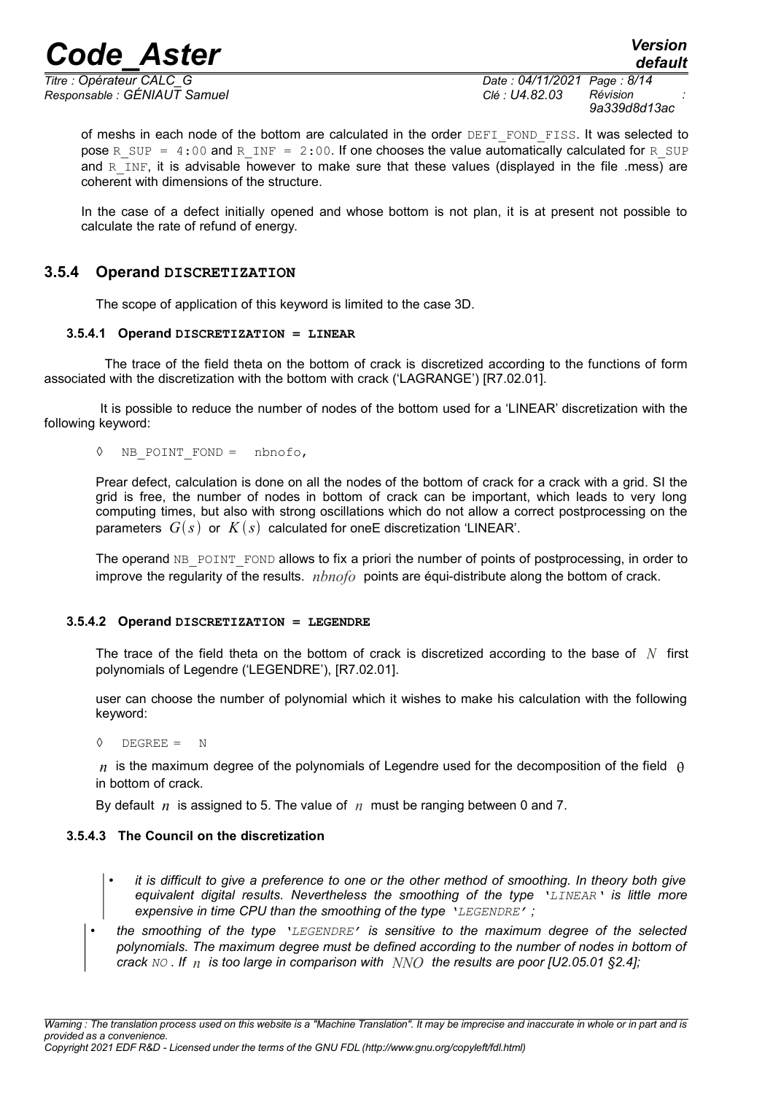*Responsable : GÉNIAUT Samuel Clé : U4.82.03 Révision :*

*Titre : Opérateur CALC\_G Date : 04/11/2021 Page : 8/14 9a339d8d13ac*

*default*

of meshs in each node of the bottom are calculated in the order DEFI\_FOND\_FISS. It was selected to pose R\_SUP =  $4:00$  and R\_INF = 2:00. If one chooses the value automatically calculated for R\_SUP and  $R$  INF, it is advisable however to make sure that these values (displayed in the file .mess) are coherent with dimensions of the structure.

In the case of a defect initially opened and whose bottom is not plan, it is at present not possible to calculate the rate of refund of energy.

### **3.5.4 Operand DISCRETIZATION**

The scope of application of this keyword is limited to the case 3D.

### **3.5.4.1 Operand DISCRETIZATION = LINEAR**

The trace of the field theta on the bottom of crack is discretized according to the functions of form associated with the discretization with the bottom with crack ('LAGRANGE') [R7.02.01].

 It is possible to reduce the number of nodes of the bottom used for a 'LINEAR' discretization with the following keyword:

◊ NB\_POINT\_FOND = nbnofo,

Prear defect, calculation is done on all the nodes of the bottom of crack for a crack with a grid. SI the grid is free, the number of nodes in bottom of crack can be important, which leads to very long computing times, but also with strong oscillations which do not allow a correct postprocessing on the parameters  $G(s)$  or  $K(s)$  calculated for one E discretization 'LINEAR'.

The operand NB\_POINT\_FOND allows to fix a priori the number of points of postprocessing, in order to improve the regularity of the results. *nbnofo* points are équi-distribute along the bottom of crack.

### **3.5.4.2 Operand DISCRETIZATION = LEGENDRE**

The trace of the field theta on the bottom of crack is discretized according to the base of *N* first polynomials of Legendre ('LEGENDRE'), [R7.02.01].

user can choose the number of polynomial which it wishes to make his calculation with the following keyword:

 $\Diamond$  DEGREE = N

 $n_i$  is the maximum degree of the polynomials of Legendre used for the decomposition of the field  $\theta$ in bottom of crack.

By default *n* is assigned to 5. The value of *n* must be ranging between 0 and 7.

### **3.5.4.3 The Council on the discretization**

- *it is difficult to give a preference to one or the other method of smoothing. In theory both give equivalent digital results. Nevertheless the smoothing of the type 'LINEAR' is little more expensive in time CPU than the smoothing of the type 'LEGENDRE' ;*
- *the smoothing of the type 'LEGENDRE' is sensitive to the maximum degree of the selected polynomials. The maximum degree must be defined according to the number of nodes in bottom of crack NO . If n is too large in comparison with NNO the results are poor [U2.05.01 §2.4];*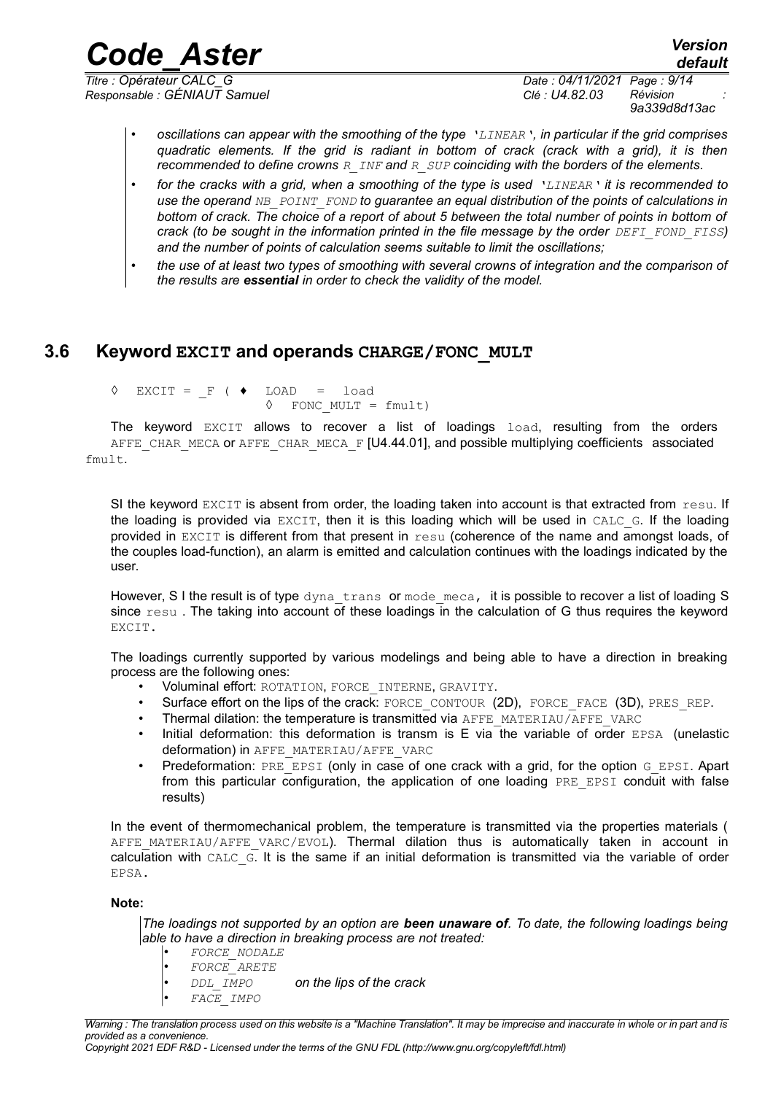*Responsable : GÉNIAUT Samuel Clé : U4.82.03 Révision :*

*default Titre : Opérateur CALC\_G Date : 04/11/2021 Page : 9/14 9a339d8d13ac*

- *oscillations can appear with the smoothing of the type 'LINEAR', in particular if the grid comprises quadratic elements. If the grid is radiant in bottom of crack (crack with a grid), it is then recommended to define crowns R\_INF and R\_SUP coinciding with the borders of the elements.*
- *for the cracks with a grid, when a smoothing of the type is used 'LINEAR' it is recommended to use the operand NB\_POINT\_FOND to guarantee an equal distribution of the points of calculations in bottom of crack. The choice of a report of about 5 between the total number of points in bottom of crack (to be sought in the information printed in the file message by the order DEFI\_FOND\_FISS*) *and the number of points of calculation seems suitable to limit the oscillations;*
- *the use of at least two types of smoothing with several crowns of integration and the comparison of the results are essential in order to check the validity of the model.*

### **3.6 Keyword EXCIT and operands CHARGE/FONC\_MULT**

<span id="page-8-0"></span> $\Diamond$  EXCIT = F (  $\blacklozenge$  LOAD = load ◊ FONC\_MULT = fmult)

The keyword EXCIT allows to recover a list of loadings load, resulting from the orders AFFE\_CHAR\_MECA or AFFE\_CHAR\_MECA\_F [U4.44.01], and possible multiplying coefficients associated fmult.

SI the keyword EXCIT is absent from order, the loading taken into account is that extracted from resu. If the loading is provided via EXCIT, then it is this loading which will be used in CALC G. If the loading provided in EXCIT is different from that present in  $resu$  (coherence of the name and amongst loads, of the couples load-function), an alarm is emitted and calculation continues with the loadings indicated by the user.

However, S I the result is of type dyna trans or mode meca, it is possible to recover a list of loading S since resu . The taking into account of these loadings in the calculation of G thus requires the keyword EXCIT.

The loadings currently supported by various modelings and being able to have a direction in breaking process are the following ones:

- Voluminal effort: ROTATION, FORCE INTERNE, GRAVITY.
- Surface effort on the lips of the crack: FORCE\_CONTOUR (2D), FORCE\_FACE (3D), PRES\_REP.
- Thermal dilation: the temperature is transmitted via AFFE\_MATERIAU/AFFE\_VARC
- Initial deformation: this deformation is transm is E via the variable of order EPSA (unelastic deformation) in AFFE\_MATERIAU/AFFE\_VARC
- Predeformation: PRE\_EPSI (only in case of one crack with a grid, for the option G\_EPSI. Apart from this particular configuration, the application of one loading PRE EPSI conduit with false results)

In the event of thermomechanical problem, the temperature is transmitted via the properties materials ( AFFE MATERIAU/AFFE VARC/EVOL). Thermal dilation thus is automatically taken in account in calculation with CALC\_G. It is the same if an initial deformation is transmitted via the variable of order EPSA.

### **Note:**

*The loadings not supported by an option are been unaware of. To date, the following loadings being able to have a direction in breaking process are not treated:*

- *FORCE\_NODALE*
- *FORCE\_ARETE*

• *DDL\_IMPO on the lips of the crack*

• *FACE\_IMPO*

*Copyright 2021 EDF R&D - Licensed under the terms of the GNU FDL (http://www.gnu.org/copyleft/fdl.html)*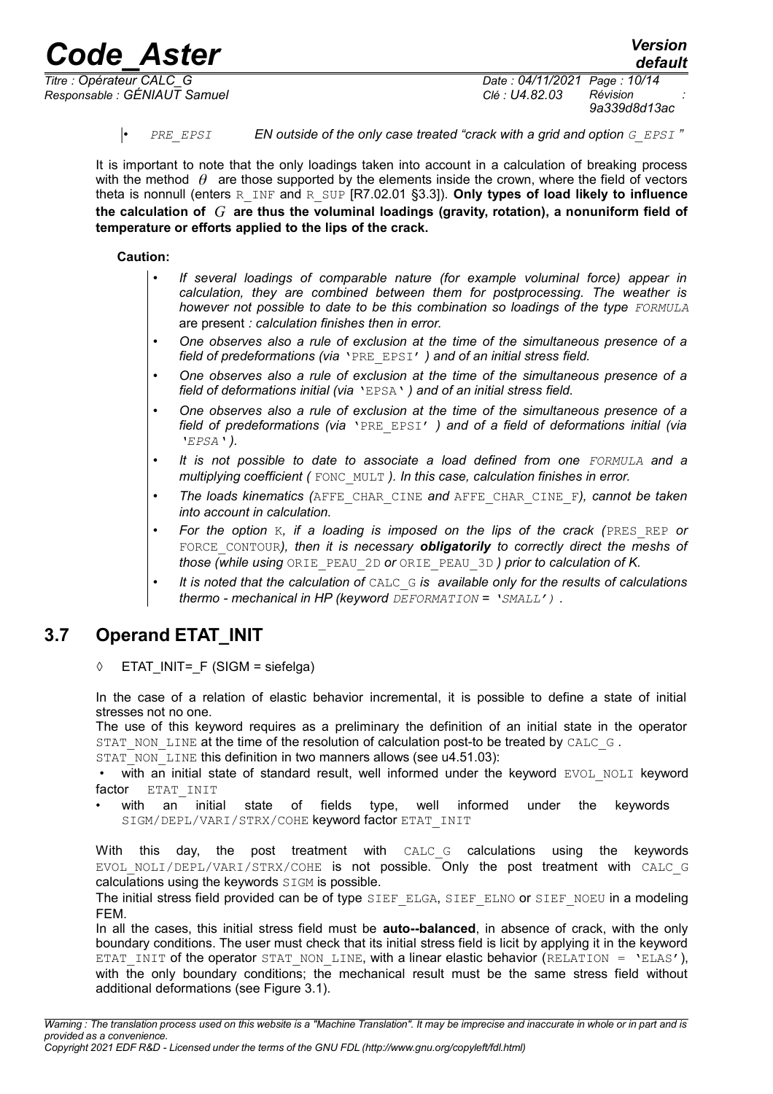*Responsable : GÉNIAUT Samuel Clé : U4.82.03 Révision :*

*Titre : Opérateur CALC\_G Date : 04/11/2021 Page : 10/14 9a339d8d13ac*

• *PRE\_EPSI EN outside of the only case treated "crack with a grid and option G\_EPSI "*

It is important to note that the only loadings taken into account in a calculation of breaking process with the method  $\theta$  are those supported by the elements inside the crown, where the field of vectors theta is nonnull (enters R\_INF and R\_SUP [R7.02.01 §3.3]). **Only types of load likely to influence the calculation of** *G* **are thus the voluminal loadings (gravity, rotation), a nonuniform field of temperature or efforts applied to the lips of the crack.**

### **Caution:**

- *If several loadings of comparable nature (for example voluminal force) appear in calculation, they are combined between them for postprocessing. The weather is however not possible to date to be this combination so loadings of the type FORMULA* are present *: calculation finishes then in error.*
- *One observes also a rule of exclusion at the time of the simultaneous presence of a field of predeformations (via* 'PRE\_EPSI' *) and of an initial stress field.*
- *One observes also a rule of exclusion at the time of the simultaneous presence of a field of deformations initial (via* 'EPSA' *) and of an initial stress field.*
- *One observes also a rule of exclusion at the time of the simultaneous presence of a field of predeformations (via* 'PRE\_EPSI' *) and of a field of deformations initial (via 'EPSA' ).*
- *It is not possible to date to associate a load defined from one FORMULA and a multiplying coefficient (* FONC\_MULT *). In this case, calculation finishes in error.*
- *The loads kinematics (*AFFE\_CHAR\_CINE *and* AFFE\_CHAR\_CINE\_F*), cannot be taken into account in calculation.*
- *For the option* K*, if a loading is imposed on the lips of the crack (*PRES\_REP *or* FORCE\_CONTOUR*), then it is necessary obligatorily to correctly direct the meshs of those (while using* ORIE\_PEAU\_2D *or* ORIE\_PEAU\_3D *) prior to calculation of K.*
- *It is noted that the calculation of* CALC\_G *is available only for the results of calculations thermo - mechanical in HP (keyword DEFORMATION = 'SMALL') .*

### **3.7 Operand ETAT\_INIT**

<span id="page-9-0"></span> $\Diamond$  ETAT INIT= F (SIGM = siefelga)

In the case of a relation of elastic behavior incremental, it is possible to define a state of initial stresses not no one.

The use of this keyword requires as a preliminary the definition of an initial state in the operator STAT\_NON\_LINE at the time of the resolution of calculation post-to be treated by CALC\_G.

STAT\_NON\_LINE this definition in two manners allows (see u4.51.03):

with an initial state of standard result, well informed under the keyword EVOL NOLI keyword factor ETAT INIT

with an initial state of fields type, well informed under the keywords SIGM/DEPL/VARI/STRX/COHE keyword factor ETAT\_INIT

With this day, the post treatment with CALC G calculations using the keywords EVOL NOLI/DEPL/VARI/STRX/COHE is not possible. Only the post treatment with CALC G calculations using the keywords SIGM is possible.

The initial stress field provided can be of type SIEF ELGA, SIEF ELNO or SIEF NOEU in a modeling FEM.

In all the cases, this initial stress field must be **auto--balanced**, in absence of crack, with the only boundary conditions. The user must check that its initial stress field is licit by applying it in the keyword ETAT INIT of the operator STAT\_NON\_LINE, with a linear elastic behavior (RELATION = 'ELAS'), with the only boundary conditions; the mechanical result must be the same stress field without additional deformations (see [Figure 3.1\)](#page-10-1).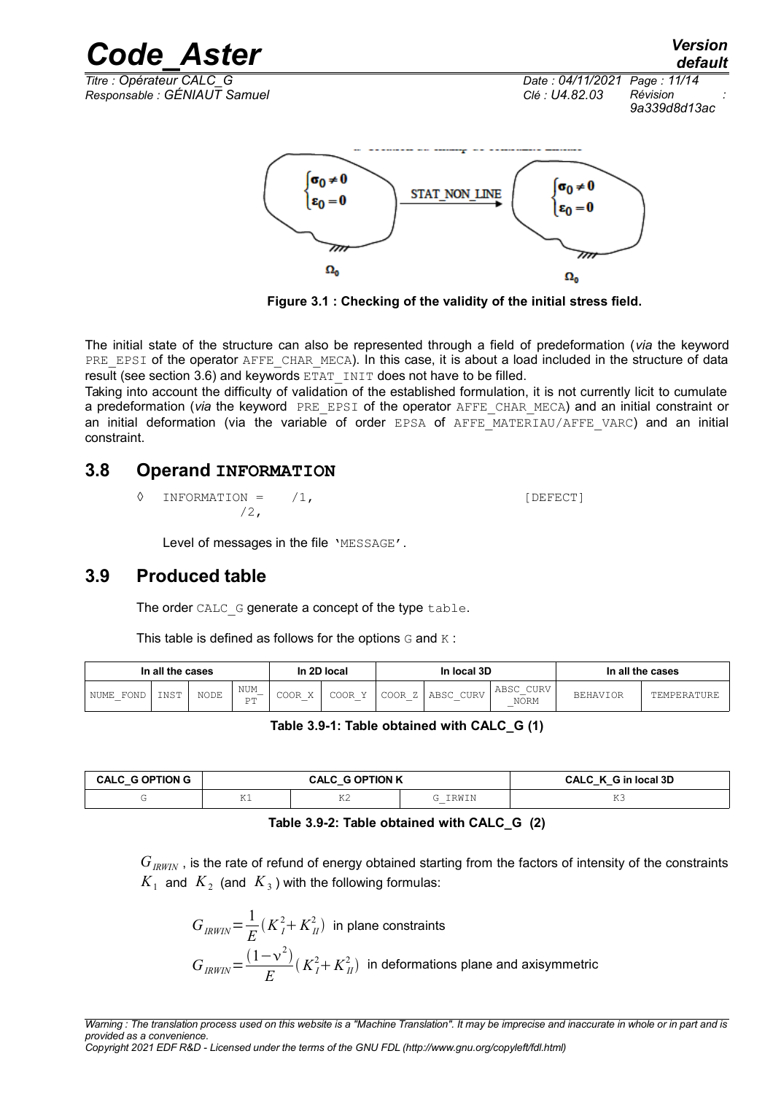*Code\_Aster Version default Titre : Opérateur CALC\_G Date : 04/11/2021 Page : 11/14 Responsable : GÉNIAUT Samuel Clé : U4.82.03 Révision : 9a339d8d13ac*  $\sigma_0 \neq 0$  $\sigma_0 \neq 0$ **STAT NON LINE**  $\varepsilon_0 = 0$  $s_0 = 0$ 

**Figure 3.1 : Checking of the validity of the initial stress field.**

 $\Omega_0$ 

The initial state of the structure can also be represented through a field of predeformation (*via* the keyword PRE\_EPSI of the operator AFFE\_CHAR\_MECA). In this case, it is about a load included in the structure of data result (see section [3.6\)](#page-8-0) and keywords  $ETATINT$   $OPT$  does not have to be filled.

Taking into account the difficulty of validation of the established formulation, it is not currently licit to cumulate a predeformation (via the keyword PRE EPSI of the operator AFFE CHAR MECA) and an initial constraint or an initial deformation (via the variable of order EPSA of AFFE MATERIAU/AFFE VARC) and an initial constraint.

### **3.8 Operand INFORMATION**

◊ INFORMATION = /1, [DEFECT]  $/2$ ,

<span id="page-10-1"></span> $\Omega_0$ 

Level of messages in the file 'MESSAGE'.

### **3.9 Produced table**

<span id="page-10-0"></span>The order CALC G generate a concept of the type table.

This table is defined as follows for the options  $G$  and  $K$ :

| In all the cases |      |             | In 2D local<br>In local 3D |           | In all the cases |           |                   |                                                                     |                 |             |
|------------------|------|-------------|----------------------------|-----------|------------------|-----------|-------------------|---------------------------------------------------------------------|-----------------|-------------|
| FOND<br>NUME     | INST | <b>NODE</b> | NUM<br>–<br>חס<br>- -      | COOR<br>– | COOR             | COOR<br>– | CURV<br>ABSC<br>_ | CURV<br>$\wedge$ $\mathbb{R}$ $\subset$ $\cap$<br>ABSU<br>NORM<br>_ | <b>BEHAVIOR</b> | TEMPERATURE |

**Table 3.9-1: Table obtained with CALC\_G (1)**

| <b>CALC_G OPTION G</b> |            | <b>CALC G OPTION K</b> | CALC K G in local 3D |                 |
|------------------------|------------|------------------------|----------------------|-----------------|
|                        | TZ.<br>N T | T<br>ᡗ                 | 'RWIN                | $\overline{11}$ |

### **Table 3.9-2: Table obtained with CALC\_G (2)**

 $G_{IRWIN}$ , is the rate of refund of energy obtained starting from the factors of intensity of the constraints  $K_{1}^{\parallel}$  and  $\overline{K}_{2}^{\parallel}$  (and  $\overline{K}_{3}$  ) with the following formulas:

$$
G_{IRWIN} = \frac{1}{E} (K_I^2 + K_{II}^2)
$$
 in plane constraints  

$$
G_{IRWIN} = \frac{(1 - v^2)}{E} (K_I^2 + K_{II}^2)
$$
 in deformations plane and axisymmetric

*Copyright 2021 EDF R&D - Licensed under the terms of the GNU FDL (http://www.gnu.org/copyleft/fdl.html)*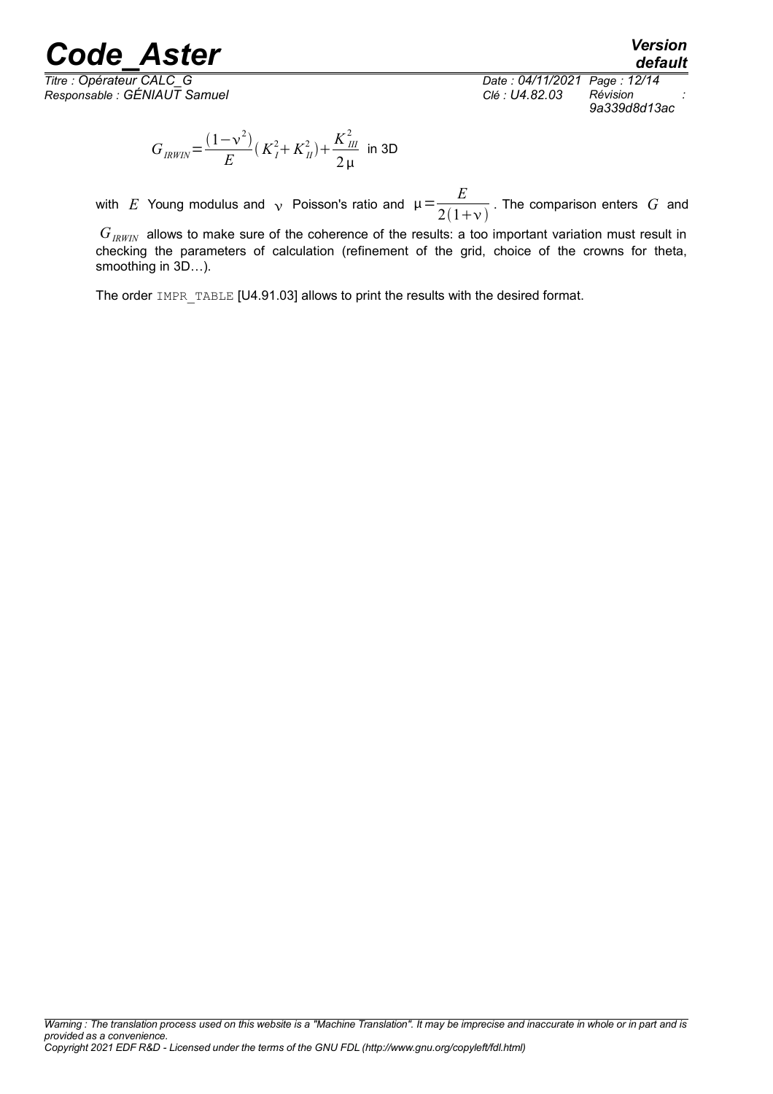*Titre : Opérateur CALC\_G Date : 04/11/2021 Page : 12/14 Responsable : GÉNIAUT Samuel Clé : U4.82.03 Révision : 9a339d8d13ac*

*default*

$$
G_{IRWIN} = \frac{(1 - v^2)}{E} (K_I^2 + K_{II}^2) + \frac{K_{III}^2}{2 \mu}
$$
 in 3D

with  $E$  Young modulus and  $\sqrt{ }$  Poisson's ratio and  $\mu =\frac{E}{2(1+)}$  $\frac{2}{2(1+v)}$ . The comparison enters *G* and

*GIRWIN* allows to make sure of the coherence of the results: a too important variation must result in checking the parameters of calculation (refinement of the grid, choice of the crowns for theta, smoothing in 3D…).

The order IMPR\_TABLE [U4.91.03] allows to print the results with the desired format.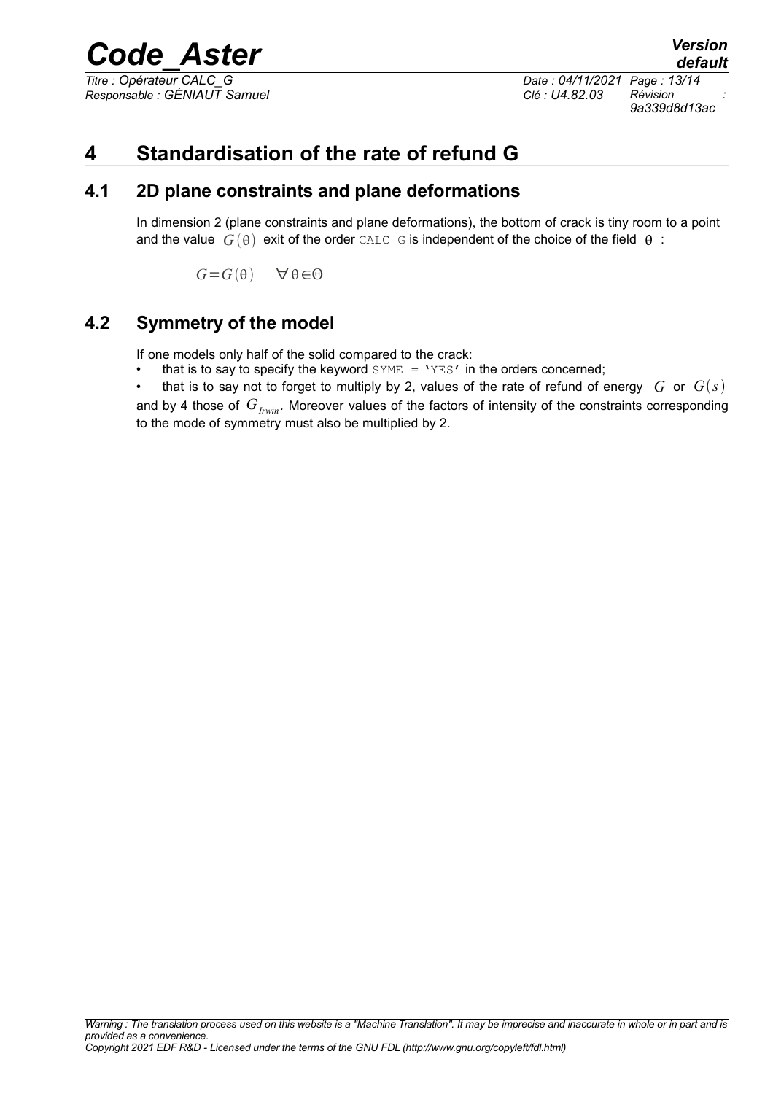*Titre : Opérateur CALC\_G Date : 04/11/2021 Page : 13/14*

*default Responsable : GÉNIAUT Samuel Clé : U4.82.03 Révision : 9a339d8d13ac*

## **4 Standardisation of the rate of refund G**

### **4.1 2D plane constraints and plane deformations**

In dimension 2 (plane constraints and plane deformations), the bottom of crack is tiny room to a point and the value  $G(\theta)$  exit of the order CALC G is independent of the choice of the field  $\theta$ :

 $G = G(\theta)$   $\forall \theta \in \Theta$ 

### **4.2 Symmetry of the model**

If one models only half of the solid compared to the crack:

- that is to say to specify the keyword  $\text{SYME} = \text{YES}$  in the orders concerned;
- that is to say not to forget to multiply by 2, values of the rate of refund of energy  $G$  or  $G(s)$
- and by 4 those of  $G_{I<sub>1</sub>win}$ . Moreover values of the factors of intensity of the constraints corresponding to the mode of symmetry must also be multiplied by 2.